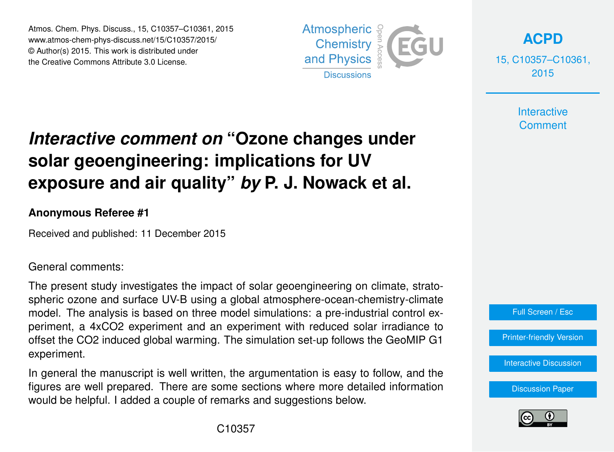Atmos. Chem. Phys. Discuss., 15, C10357–C10361, 2015 www.atmos-chem-phys-discuss.net/15/C10357/2015/ © Author(s) 2015. This work is distributed under the Creative Commons Attribute 3.0 License.



**[ACPD](http://www.atmos-chem-phys-discuss.net)**

15, C10357–C10361, 2015

> **Interactive Comment**

# *Interactive comment on* **"Ozone changes under solar geoengineering: implications for UV exposure and air quality"** *by* **P. J. Nowack et al.**

### **Anonymous Referee #1**

Received and published: 11 December 2015

General comments:

The present study investigates the impact of solar geoengineering on climate, stratospheric ozone and surface UV-B using a global atmosphere-ocean-chemistry-climate model. The analysis is based on three model simulations: a pre-industrial control experiment, a 4xCO2 experiment and an experiment with reduced solar irradiance to offset the CO2 induced global warming. The simulation set-up follows the GeoMIP G1 experiment.

In general the manuscript is well written, the argumentation is easy to follow, and the figures are well prepared. There are some sections where more detailed information would be helpful. I added a couple of remarks and suggestions below.



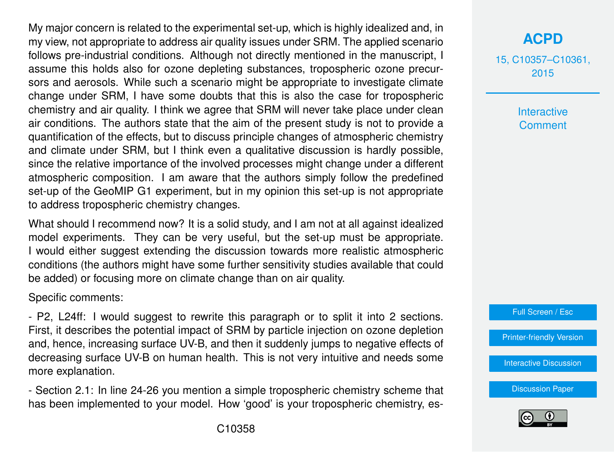My major concern is related to the experimental set-up, which is highly idealized and, in my view, not appropriate to address air quality issues under SRM. The applied scenario follows pre-industrial conditions. Although not directly mentioned in the manuscript, I assume this holds also for ozone depleting substances, tropospheric ozone precursors and aerosols. While such a scenario might be appropriate to investigate climate change under SRM, I have some doubts that this is also the case for tropospheric chemistry and air quality. I think we agree that SRM will never take place under clean air conditions. The authors state that the aim of the present study is not to provide a quantification of the effects, but to discuss principle changes of atmospheric chemistry and climate under SRM, but I think even a qualitative discussion is hardly possible, since the relative importance of the involved processes might change under a different atmospheric composition. I am aware that the authors simply follow the predefined set-up of the GeoMIP G1 experiment, but in my opinion this set-up is not appropriate to address tropospheric chemistry changes.

What should I recommend now? It is a solid study, and I am not at all against idealized model experiments. They can be very useful, but the set-up must be appropriate. I would either suggest extending the discussion towards more realistic atmospheric conditions (the authors might have some further sensitivity studies available that could be added) or focusing more on climate change than on air quality.

#### Specific comments:

- P2, L24ff: I would suggest to rewrite this paragraph or to split it into 2 sections. First, it describes the potential impact of SRM by particle injection on ozone depletion and, hence, increasing surface UV-B, and then it suddenly jumps to negative effects of decreasing surface UV-B on human health. This is not very intuitive and needs some more explanation.

- Section 2.1: In line 24-26 you mention a simple tropospheric chemistry scheme that has been implemented to your model. How 'good' is your tropospheric chemistry, es-

## **[ACPD](http://www.atmos-chem-phys-discuss.net)**

15, C10357–C10361, 2015

> Interactive **Comment**

Full Screen / Esc

[Printer-friendly Version](http://www.atmos-chem-phys-discuss.net/15/C10357/2015/acpd-15-C10357-2015-print.pdf)

[Interactive Discussion](http://www.atmos-chem-phys-discuss.net/15/31973/2015/acpd-15-31973-2015-discussion.html)

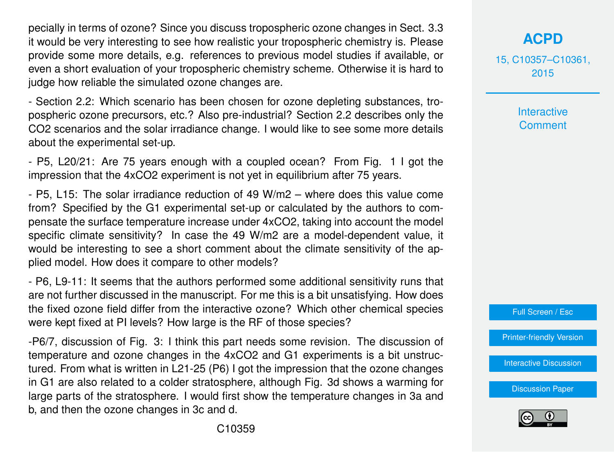pecially in terms of ozone? Since you discuss tropospheric ozone changes in Sect. 3.3 it would be very interesting to see how realistic your tropospheric chemistry is. Please provide some more details, e.g. references to previous model studies if available, or even a short evaluation of your tropospheric chemistry scheme. Otherwise it is hard to judge how reliable the simulated ozone changes are.

- Section 2.2: Which scenario has been chosen for ozone depleting substances, tropospheric ozone precursors, etc.? Also pre-industrial? Section 2.2 describes only the CO2 scenarios and the solar irradiance change. I would like to see some more details about the experimental set-up.

- P5, L20/21: Are 75 years enough with a coupled ocean? From Fig. 1 I got the impression that the 4xCO2 experiment is not yet in equilibrium after 75 years.

- P5, L15: The solar irradiance reduction of 49 W/m2 – where does this value come from? Specified by the G1 experimental set-up or calculated by the authors to compensate the surface temperature increase under 4xCO2, taking into account the model specific climate sensitivity? In case the 49 W/m2 are a model-dependent value, it would be interesting to see a short comment about the climate sensitivity of the applied model. How does it compare to other models?

- P6, L9-11: It seems that the authors performed some additional sensitivity runs that are not further discussed in the manuscript. For me this is a bit unsatisfying. How does the fixed ozone field differ from the interactive ozone? Which other chemical species were kept fixed at PI levels? How large is the RF of those species?

-P6/7, discussion of Fig. 3: I think this part needs some revision. The discussion of temperature and ozone changes in the 4xCO2 and G1 experiments is a bit unstructured. From what is written in L21-25 (P6) I got the impression that the ozone changes in G1 are also related to a colder stratosphere, although Fig. 3d shows a warming for large parts of the stratosphere. I would first show the temperature changes in 3a and b, and then the ozone changes in 3c and d.

## **[ACPD](http://www.atmos-chem-phys-discuss.net)**

15, C10357–C10361, 2015

> **Interactive Comment**



[Printer-friendly Version](http://www.atmos-chem-phys-discuss.net/15/C10357/2015/acpd-15-C10357-2015-print.pdf)

[Interactive Discussion](http://www.atmos-chem-phys-discuss.net/15/31973/2015/acpd-15-31973-2015-discussion.html)

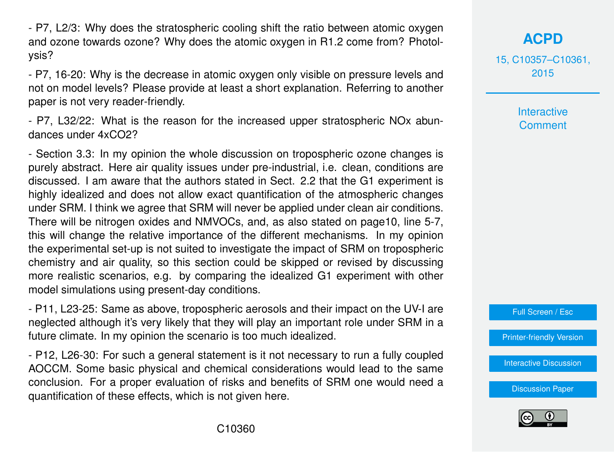- P7, L2/3: Why does the stratospheric cooling shift the ratio between atomic oxygen and ozone towards ozone? Why does the atomic oxygen in R1.2 come from? Photolysis?

- P7, 16-20: Why is the decrease in atomic oxygen only visible on pressure levels and not on model levels? Please provide at least a short explanation. Referring to another paper is not very reader-friendly.

- P7, L32/22: What is the reason for the increased upper stratospheric NOx abundances under 4xCO2?

- Section 3.3: In my opinion the whole discussion on tropospheric ozone changes is purely abstract. Here air quality issues under pre-industrial, i.e. clean, conditions are discussed. I am aware that the authors stated in Sect. 2.2 that the G1 experiment is highly idealized and does not allow exact quantification of the atmospheric changes under SRM. I think we agree that SRM will never be applied under clean air conditions. There will be nitrogen oxides and NMVOCs, and, as also stated on page10, line 5-7, this will change the relative importance of the different mechanisms. In my opinion the experimental set-up is not suited to investigate the impact of SRM on tropospheric chemistry and air quality, so this section could be skipped or revised by discussing more realistic scenarios, e.g. by comparing the idealized G1 experiment with other model simulations using present-day conditions.

- P11, L23-25: Same as above, tropospheric aerosols and their impact on the UV-I are neglected although it's very likely that they will play an important role under SRM in a future climate. In my opinion the scenario is too much idealized.

- P12, L26-30: For such a general statement is it not necessary to run a fully coupled AOCCM. Some basic physical and chemical considerations would lead to the same conclusion. For a proper evaluation of risks and benefits of SRM one would need a quantification of these effects, which is not given here.

**[ACPD](http://www.atmos-chem-phys-discuss.net)**

15, C10357–C10361, 2015

> Interactive **Comment**

Full Screen / Esc

[Printer-friendly Version](http://www.atmos-chem-phys-discuss.net/15/C10357/2015/acpd-15-C10357-2015-print.pdf)

[Interactive Discussion](http://www.atmos-chem-phys-discuss.net/15/31973/2015/acpd-15-31973-2015-discussion.html)